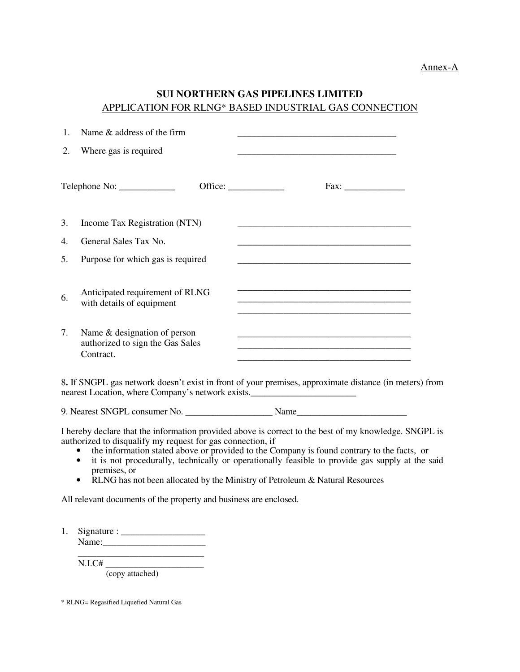## **SUI NORTHERN GAS PIPELINES LIMITED**  APPLICATION FOR RLNG\* BASED INDUSTRIAL GAS CONNECTION

| 1.                                                                                                                                                          | Name & address of the firm                                                                                                                    |                                                                                                                                                                                                                                                                                                                                                                                        |
|-------------------------------------------------------------------------------------------------------------------------------------------------------------|-----------------------------------------------------------------------------------------------------------------------------------------------|----------------------------------------------------------------------------------------------------------------------------------------------------------------------------------------------------------------------------------------------------------------------------------------------------------------------------------------------------------------------------------------|
| 2.                                                                                                                                                          | Where gas is required                                                                                                                         |                                                                                                                                                                                                                                                                                                                                                                                        |
|                                                                                                                                                             | Telephone No: ______________                                                                                                                  | Office: $\frac{\qquad \qquad }{\qquad \qquad }$                                                                                                                                                                                                                                                                                                                                        |
| 3.<br>Income Tax Registration (NTN)<br><u> 1989 - Johann Stein, marwolaethau a bhann an t-Amhain an t-Amhain an t-Amhain an t-Amhain an t-Amhain an t-A</u> |                                                                                                                                               |                                                                                                                                                                                                                                                                                                                                                                                        |
| 4.                                                                                                                                                          | General Sales Tax No.                                                                                                                         |                                                                                                                                                                                                                                                                                                                                                                                        |
| 5.                                                                                                                                                          | Purpose for which gas is required                                                                                                             |                                                                                                                                                                                                                                                                                                                                                                                        |
| 6.<br>7.                                                                                                                                                    | Anticipated requirement of RLNG<br>with details of equipment<br>Name & designation of person<br>authorized to sign the Gas Sales<br>Contract. | <u> 1989 - Johann Barn, mars ann an t-Amhain ann an t-Amhain an t-Amhain an t-Amhain an t-Amhain an t-Amhain an t-</u>                                                                                                                                                                                                                                                                 |
|                                                                                                                                                             | nearest Location, where Company's network exists.                                                                                             | 8. If SNGPL gas network doesn't exist in front of your premises, approximate distance (in meters) from                                                                                                                                                                                                                                                                                 |
|                                                                                                                                                             |                                                                                                                                               |                                                                                                                                                                                                                                                                                                                                                                                        |
|                                                                                                                                                             | authorized to disqualify my request for gas connection, if<br>$\bullet$<br>$\bullet$<br>premises, or<br>$\bullet$                             | I hereby declare that the information provided above is correct to the best of my knowledge. SNGPL is<br>the information stated above or provided to the Company is found contrary to the facts, or<br>it is not procedurally, technically or operationally feasible to provide gas supply at the said<br>RLNG has not been allocated by the Ministry of Petroleum & Natural Resources |
|                                                                                                                                                             | All relevant documents of the property and business are enclosed.                                                                             |                                                                                                                                                                                                                                                                                                                                                                                        |

1. Signature : \_\_\_\_\_\_\_\_\_\_\_\_\_\_\_\_\_\_ Name:\_\_\_\_\_\_\_\_\_\_\_\_\_\_\_\_\_\_\_\_\_\_ \_\_\_\_\_\_\_\_\_\_\_\_\_\_\_\_\_\_\_\_\_\_\_\_\_\_\_

N.I.C# \_\_\_\_\_\_\_\_\_\_\_\_\_\_\_\_\_\_\_\_\_

(copy attached)

<sup>\*</sup> RLNG= Regasified Liquefied Natural Gas